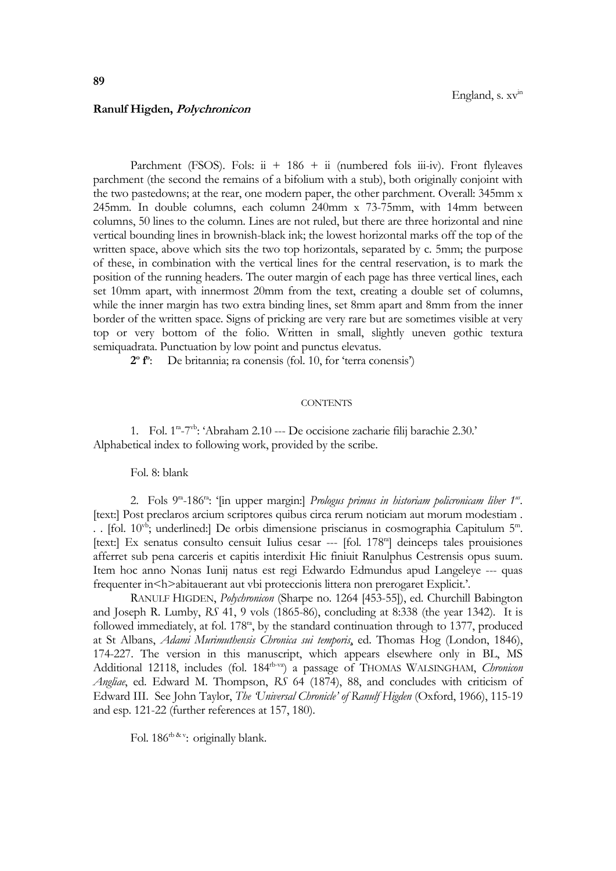## **Ranulf Higden, Polychronicon**

Parchment (FSOS). Fols: ii + 186 + ii (numbered fols iii-iv). Front flyleaves parchment (the second the remains of a bifolium with a stub), both originally conjoint with the two pastedowns; at the rear, one modern paper, the other parchment. Overall: 345mm x 245mm. In double columns, each column 240mm x 73-75mm, with 14mm between columns, 50 lines to the column. Lines are not ruled, but there are three horizontal and nine vertical bounding lines in brownish-black ink; the lowest horizontal marks off the top of the written space, above which sits the two top horizontals, separated by c. 5mm; the purpose of these, in combination with the vertical lines for the central reservation, is to mark the position of the running headers. The outer margin of each page has three vertical lines, each set 10mm apart, with innermost 20mm from the text, creating a double set of columns, while the inner margin has two extra binding lines, set 8mm apart and 8mm from the inner border of the written space. Signs of pricking are very rare but are sometimes visible at very top or very bottom of the folio. Written in small, slightly uneven gothic textura semiquadrata. Punctuation by low point and punctus elevatus.

**2 o f o** : De britannia; ra conensis (fol. 10, for 'terra conensis')

## **CONTENTS**

1. Fol. 1ra -7 vb: 'Abraham 2.10 --- De occisione zacharie filij barachie 2.30.' Alphabetical index to following work, provided by the scribe.

Fol. 8: blank

2. Fols 9<sup>ra</sup>-186<sup>ra</sup>: '[in upper margin:] *Prologus primus in historiam policronicam liber 1<sup>us</sup>.* [text:] Post preclaros arcium scriptores quibus circa rerum noticiam aut morum modestiam . .. [fol. 10<sup>vb</sup>; underlined:] De orbis dimensione priscianus in cosmographia Capitulum 5<sup>m</sup>. [text:] Ex senatus consulto censuit Iulius cesar --- [fol. 178<sup>ra</sup>] deinceps tales prouisiones afferret sub pena carceris et capitis interdixit Hic finiuit Ranulphus Cestrensis opus suum. Item hoc anno Nonas Iunij natus est regi Edwardo Edmundus apud Langeleye --- quas frequenter in<h>abitauerant aut vbi proteccionis littera non prerogaret Explicit.'.

RANULF HIGDEN, *Polychronicon* (Sharpe no. 1264 [453-55]), ed. Churchill Babington and Joseph R. Lumby, *RS* 41, 9 vols (1865-86), concluding at 8:338 (the year 1342). It is followed immediately, at fol. 178<sup>ra</sup>, by the standard continuation through to 1377, produced at St Albans, *Adami Murimuthensis Chronica sui temporis*, ed. Thomas Hog (London, 1846), 174-227. The version in this manuscript, which appears elsewhere only in BL, MS Additional 12118, includes (fol. 184<sup>rb-va</sup>) a passage of THOMAS WALSINGHAM, *Chronicon Angliae*, ed. Edward M. Thompson, *RS* 64 (1874), 88, and concludes with criticism of Edward III. See John Taylor, *The 'Universal Chronicle' of Ranulf Higden* (Oxford, 1966), 115-19 and esp. 121-22 (further references at 157, 180).

Fol. 186<sup>rb & v</sup>: originally blank.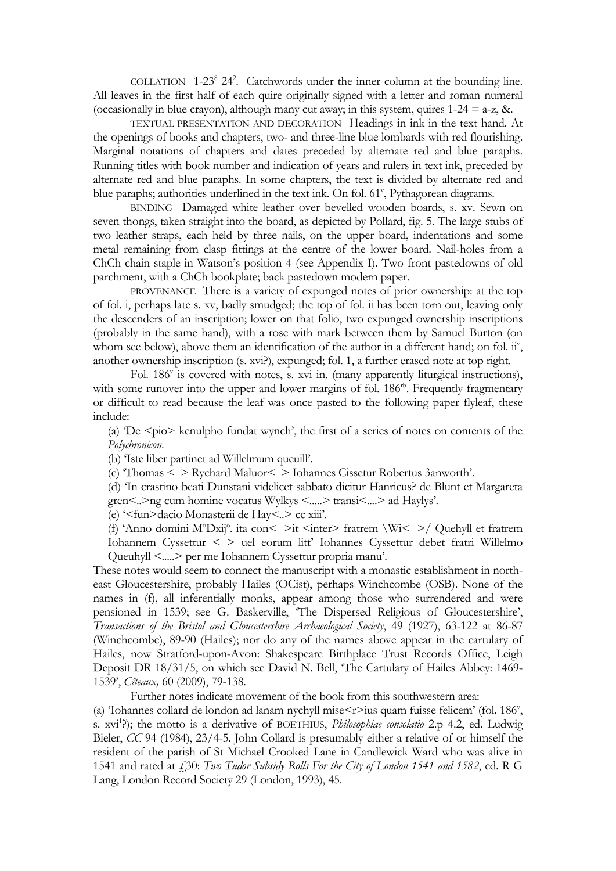COLLATION 1-23<sup>8</sup> 24<sup>2</sup> . Catchwords under the inner column at the bounding line. All leaves in the first half of each quire originally signed with a letter and roman numeral (occasionally in blue crayon), although many cut away; in this system, quires  $1-24 = a-z$ , &.

TEXTUAL PRESENTATION AND DECORATION Headings in ink in the text hand. At the openings of books and chapters, two- and three-line blue lombards with red flourishing. Marginal notations of chapters and dates preceded by alternate red and blue paraphs. Running titles with book number and indication of years and rulers in text ink, preceded by alternate red and blue paraphs. In some chapters, the text is divided by alternate red and blue paraphs; authorities underlined in the text ink. On fol. 61<sup>v</sup>, Pythagorean diagrams.

BINDING Damaged white leather over bevelled wooden boards, s. xv. Sewn on seven thongs, taken straight into the board, as depicted by Pollard, fig. 5. The large stubs of two leather straps, each held by three nails, on the upper board, indentations and some metal remaining from clasp fittings at the centre of the lower board. Nail-holes from a ChCh chain staple in Watson's position 4 (see Appendix I). Two front pastedowns of old parchment, with a ChCh bookplate; back pastedown modern paper.

PROVENANCE There is a variety of expunged notes of prior ownership: at the top of fol. i, perhaps late s. xv, badly smudged; the top of fol. ii has been torn out, leaving only the descenders of an inscription; lower on that folio, two expunged ownership inscriptions (probably in the same hand), with a rose with mark between them by Samuel Burton (on whom see below), above them an identification of the author in a different hand; on fol. ii', another ownership inscription (s. xvi?), expunged; fol. 1, a further erased note at top right.

Fol. 186<sup>v</sup> is covered with notes, s. xvi in. (many apparently liturgical instructions), with some runover into the upper and lower margins of fol. 186<sup>th</sup>. Frequently fragmentary or difficult to read because the leaf was once pasted to the following paper flyleaf, these include:

(a) 'De  $\langle \text{pio}\rangle$  kenulpho fundat wynch', the first of a series of notes on contents of the *Polychronicon*.

(b) 'Iste liber partinet ad Willelmum queuill'.

(c) 'Thomas < > Rychard Maluor< > Iohannes Cissetur Robertus 3anworth'.

(d) 'In crastino beati Dunstani videlicet sabbato dicitur Hanricus? de Blunt et Margareta gren<..>ng cum homine vocatus Wylkys <.....> transi<....> ad Haylys'.

(e) '<fun>dacio Monasterii de Hay<..> cc xiii'.

(f) 'Anno domini M°Dxij°. ita con< >it <inter> fratrem \Wi< >/ Quehyll et fratrem Iohannem Cyssettur < > uel eorum litt' Iohannes Cyssettur debet fratri Willelmo Queuhyll <.....> per me Iohannem Cyssettur propria manu'.

These notes would seem to connect the manuscript with a monastic establishment in northeast Gloucestershire, probably Hailes (OCist), perhaps Winchcombe (OSB). None of the names in (f), all inferentially monks, appear among those who surrendered and were pensioned in 1539; see G. Baskerville, 'The Dispersed Religious of Gloucestershire', *Transactions of the Bristol and Gloucestershire Archaeological Society*, 49 (1927), 63-122 at 86-87 (Winchcombe), 89-90 (Hailes); nor do any of the names above appear in the cartulary of Hailes, now Stratford-upon-Avon: Shakespeare Birthplace Trust Records Office, Leigh Deposit DR 18/31/5, on which see David N. Bell, 'The Cartulary of Hailes Abbey: 1469- 1539', *Cîteaux,* 60 (2009), 79-138.

Further notes indicate movement of the book from this southwestern area:

(a) Tohannes collard de london ad lanam nychyll mise<r>ius quam fuisse felicem' (fol. 186<sup>v</sup>, s. xvi<sup>1</sup>?); the motto is a derivative of BOETHIUS, *Philosophiae consolatio* 2.p 4.2, ed. Ludwig Bieler, *CC* 94 (1984), 23/4-5. John Collard is presumably either a relative of or himself the resident of the parish of St Michael Crooked Lane in Candlewick Ward who was alive in 1541 and rated at £30: *Two Tudor Subsidy Rolls For the City of London 1541 and 1582*, ed. R G Lang, London Record Society 29 (London, 1993), 45.